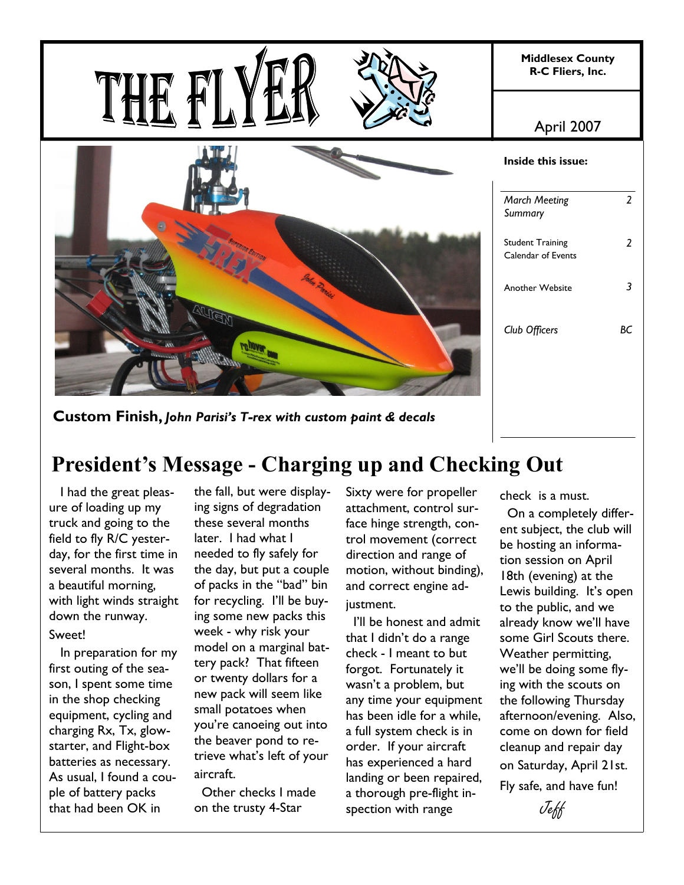

**Custom Finish,** *John Parisi's T-rex with custom paint & decals*

# **President's Message - Charging up and Checking Out**

 I had the great pleasure of loading up my truck and going to the field to fly R/C yesterday, for the first time in several months. It was a beautiful morning, with light winds straight down the runway. Sweet!

 In preparation for my first outing of the season, I spent some time in the shop checking equipment, cycling and charging Rx, Tx, glowstarter, and Flight-box batteries as necessary. As usual, I found a couple of battery packs that had been OK in

the fall, but were displaying signs of degradation these several months later. I had what I needed to fly safely for the day, but put a couple of packs in the "bad" bin for recycling. I'll be buying some new packs this week - why risk your model on a marginal battery pack? That fifteen or twenty dollars for a new pack will seem like small potatoes when you're canoeing out into the beaver pond to retrieve what's left of your aircraft.

 Other checks I made on the trusty 4-Star

Sixty were for propeller attachment, control surface hinge strength, control movement (correct direction and range of motion, without binding), and correct engine adjustment.

 I'll be honest and admit that I didn't do a range check - I meant to but forgot. Fortunately it wasn't a problem, but any time your equipment has been idle for a while, a full system check is in order. If your aircraft has experienced a hard landing or been repaired, a thorough pre-flight inspection with range

check is a must.

 On a completely different subject, the club will be hosting an information session on April 18th (evening) at the Lewis building. It's open to the public, and we already know we'll have some Girl Scouts there. Weather permitting, we'll be doing some flying with the scouts on the following Thursday afternoon/evening. Also, come on down for field cleanup and repair day on Saturday, April 21st. Fly safe, and have fun!

Jeff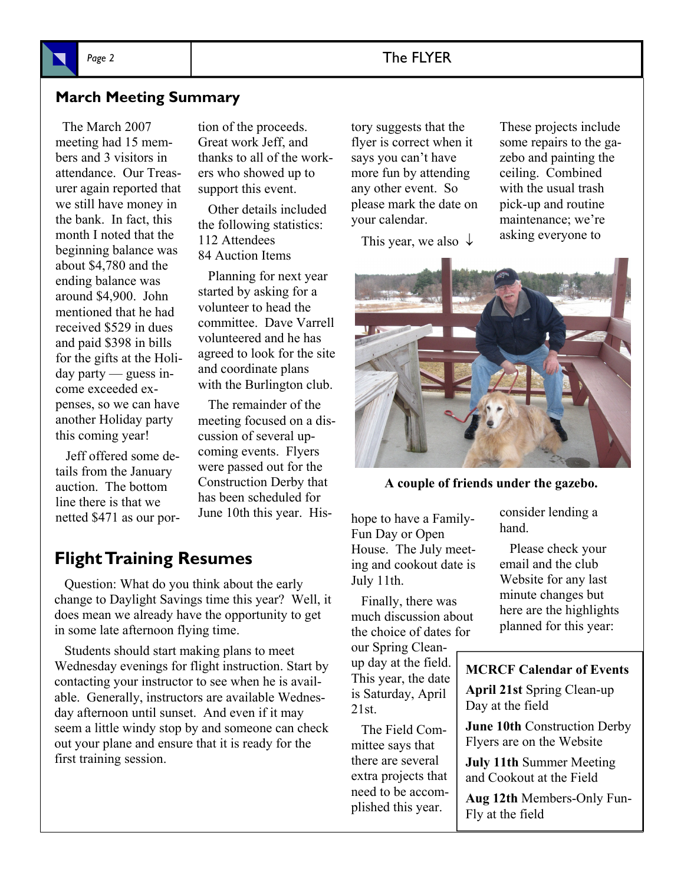# Page 2 and 2 and 2 and 2 and 2 and 2 and 2 and 2 and 2 and 2 and 2 and 2 and 2 and 2 and 2 and 2 and 2 and 2 and 2 and 2 and 2 and 2 and 2 and 2 and 2 and 2 and 2 and 2 and 2 and 2 and 2 and 2 and 2 and 2 and 2 and 2 and 2

# **March Meeting Summary**

 The March 2007 meeting had 15 members and 3 visitors in attendance. Our Treasurer again reported that we still have money in the bank. In fact, this month I noted that the beginning balance was about \$4,780 and the ending balance was around \$4,900. John mentioned that he had received \$529 in dues and paid \$398 in bills for the gifts at the Holiday party — guess income exceeded expenses, so we can have another Holiday party this coming year!

 Jeff offered some details from the January auction. The bottom line there is that we netted \$471 as our portion of the proceeds. Great work Jeff, and thanks to all of the workers who showed up to support this event.

 Other details included the following statistics: 112 Attendees 84 Auction Items

 Planning for next year started by asking for a volunteer to head the committee. Dave Varrell volunteered and he has agreed to look for the site and coordinate plans with the Burlington club.

 The remainder of the meeting focused on a discussion of several upcoming events. Flyers were passed out for the Construction Derby that has been scheduled for June 10th this year. His-

# **Flight Training Resumes**

 Question: What do you think about the early change to Daylight Savings time this year? Well, it does mean we already have the opportunity to get in some late afternoon flying time.

 Students should start making plans to meet Wednesday evenings for flight instruction. Start by contacting your instructor to see when he is available. Generally, instructors are available Wednesday afternoon until sunset. And even if it may seem a little windy stop by and someone can check out your plane and ensure that it is ready for the first training session.

tory suggests that the flyer is correct when it says you can't have more fun by attending any other event. So please mark the date on your calendar.

This year, we also  $\downarrow$ 

These projects include some repairs to the gazebo and painting the ceiling. Combined with the usual trash pick-up and routine maintenance; we're asking everyone to



**A couple of friends under the gazebo.** 

hope to have a Family-Fun Day or Open House. The July meeting and cookout date is July 11th.

 Finally, there was much discussion about the choice of dates for

our Spring Cleanup day at the field. This year, the date is Saturday, April 21st.

 The Field Committee says that there are several extra projects that need to be accomplished this year.

consider lending a hand.

 Please check your email and the club Website for any last minute changes but here are the highlights planned for this year:

### **MCRCF Calendar of Events**

**April 21st** Spring Clean-up Day at the field

**June 10th** Construction Derby Flyers are on the Website

**July 11th** Summer Meeting and Cookout at the Field

**Aug 12th** Members-Only Fun-Fly at the field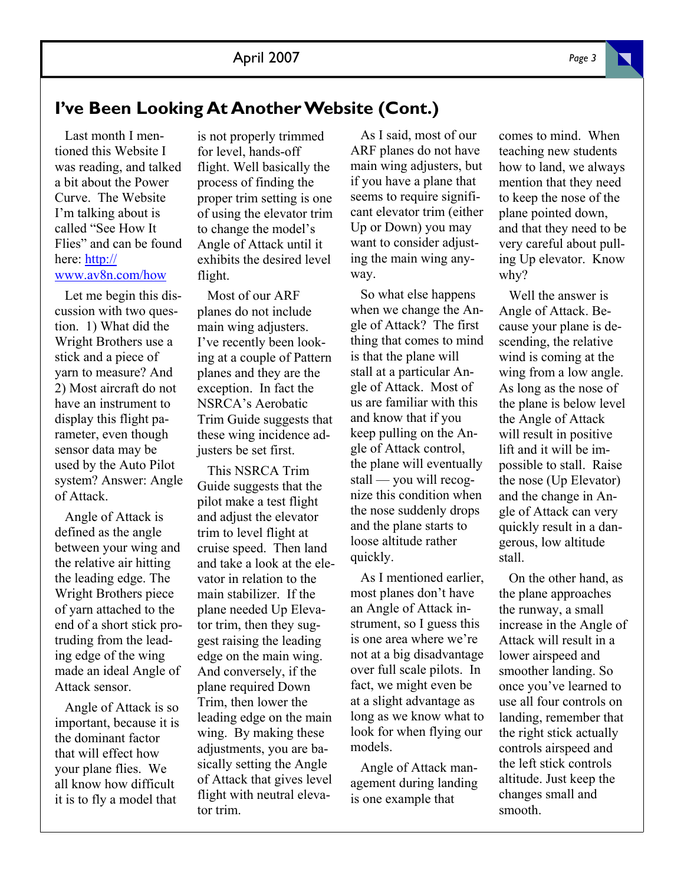# **I've Been Looking At Another Website (Cont.)**

 Last month I mentioned this Website I was reading, and talked a bit about the Power Curve. The Website I'm talking about is called "See How It Flies" and can be found here: http:// www.av8n.com/how

 Let me begin this discussion with two question. 1) What did the Wright Brothers use a stick and a piece of yarn to measure? And 2) Most aircraft do not have an instrument to display this flight parameter, even though sensor data may be used by the Auto Pilot system? Answer: Angle of Attack.

 Angle of Attack is defined as the angle between your wing and the relative air hitting the leading edge. The Wright Brothers piece of yarn attached to the end of a short stick protruding from the leading edge of the wing made an ideal Angle of Attack sensor.

 Angle of Attack is so important, because it is the dominant factor that will effect how your plane flies. We all know how difficult it is to fly a model that

is not properly trimmed for level, hands-off flight. Well basically the process of finding the proper trim setting is one of using the elevator trim to change the model's Angle of Attack until it exhibits the desired level flight.

 Most of our ARF planes do not include main wing adjusters. I've recently been looking at a couple of Pattern planes and they are the exception. In fact the NSRCA's Aerobatic Trim Guide suggests that these wing incidence adjusters be set first.

 This NSRCA Trim Guide suggests that the pilot make a test flight and adjust the elevator trim to level flight at cruise speed. Then land and take a look at the elevator in relation to the main stabilizer. If the plane needed Up Elevator trim, then they suggest raising the leading edge on the main wing. And conversely, if the plane required Down Trim, then lower the leading edge on the main wing. By making these adjustments, you are basically setting the Angle of Attack that gives level flight with neutral elevator trim.

 As I said, most of our ARF planes do not have main wing adjusters, but if you have a plane that seems to require significant elevator trim (either Up or Down) you may want to consider adjusting the main wing anyway.

 So what else happens when we change the Angle of Attack? The first thing that comes to mind is that the plane will stall at a particular Angle of Attack. Most of us are familiar with this and know that if you keep pulling on the Angle of Attack control, the plane will eventually stall — you will recognize this condition when the nose suddenly drops and the plane starts to loose altitude rather quickly.

 As I mentioned earlier, most planes don't have an Angle of Attack instrument, so I guess this is one area where we're not at a big disadvantage over full scale pilots. In fact, we might even be at a slight advantage as long as we know what to look for when flying our models.

 Angle of Attack management during landing is one example that

comes to mind. When teaching new students how to land, we always mention that they need to keep the nose of the plane pointed down, and that they need to be very careful about pulling Up elevator. Know why?

 Well the answer is Angle of Attack. Because your plane is descending, the relative wind is coming at the wing from a low angle. As long as the nose of the plane is below level the Angle of Attack will result in positive lift and it will be impossible to stall. Raise the nose (Up Elevator) and the change in Angle of Attack can very quickly result in a dangerous, low altitude stall.

 On the other hand, as the plane approaches the runway, a small increase in the Angle of Attack will result in a lower airspeed and smoother landing. So once you've learned to use all four controls on landing, remember that the right stick actually controls airspeed and the left stick controls altitude. Just keep the changes small and smooth.